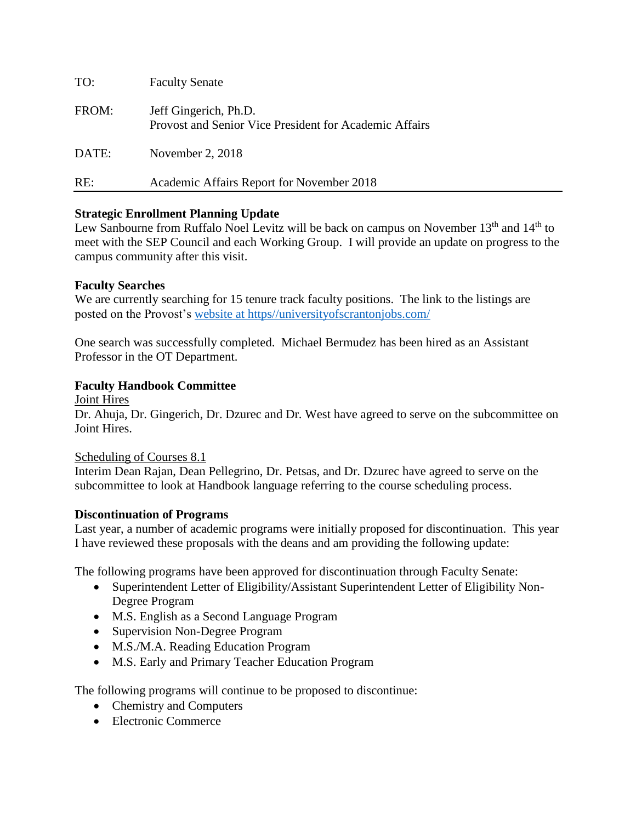| TO:   | <b>Faculty Senate</b>                                                           |
|-------|---------------------------------------------------------------------------------|
| FROM: | Jeff Gingerich, Ph.D.<br>Provost and Senior Vice President for Academic Affairs |
| DATE: | November 2, $2018$                                                              |
| RE:   | Academic Affairs Report for November 2018                                       |

# **Strategic Enrollment Planning Update**

Lew Sanbourne from Ruffalo Noel Levitz will be back on campus on November 13<sup>th</sup> and 14<sup>th</sup> to meet with the SEP Council and each Working Group. I will provide an update on progress to the campus community after this visit.

## **Faculty Searches**

We are currently searching for 15 tenure track faculty positions. The link to the listings are posted on the Provost's [website at https//universityofscrantonjobs.com/](file:///C:/Users/R01328419/AppData/Local/Microsoft/Windows/INetCache/Content.Outlook/EW8Q14P3/website%20at%20https/universityofscrantonjobs.com/)

One search was successfully completed. Michael Bermudez has been hired as an Assistant Professor in the OT Department.

# **Faculty Handbook Committee**

Joint Hires

Dr. Ahuja, Dr. Gingerich, Dr. Dzurec and Dr. West have agreed to serve on the subcommittee on Joint Hires.

## Scheduling of Courses 8.1

Interim Dean Rajan, Dean Pellegrino, Dr. Petsas, and Dr. Dzurec have agreed to serve on the subcommittee to look at Handbook language referring to the course scheduling process.

## **Discontinuation of Programs**

Last year, a number of academic programs were initially proposed for discontinuation. This year I have reviewed these proposals with the deans and am providing the following update:

The following programs have been approved for discontinuation through Faculty Senate:

- Superintendent Letter of Eligibility/Assistant Superintendent Letter of Eligibility Non-Degree Program
- M.S. English as a Second Language Program
- Supervision Non-Degree Program
- M.S./M.A. Reading Education Program
- M.S. Early and Primary Teacher Education Program

The following programs will continue to be proposed to discontinue:

- Chemistry and Computers
- Electronic Commerce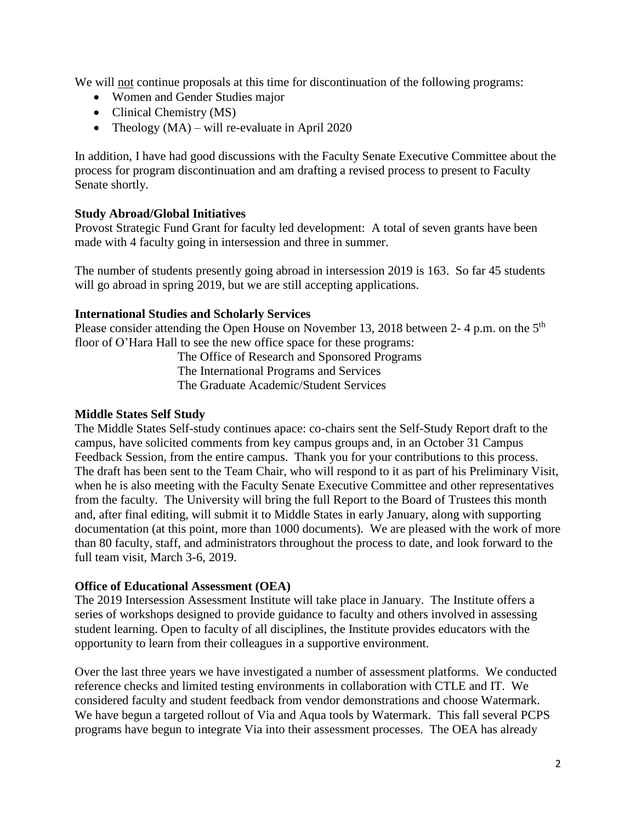We will not continue proposals at this time for discontinuation of the following programs:

- Women and Gender Studies major
- Clinical Chemistry (MS)
- Theology  $(MA)$  will re-evaluate in April 2020

In addition, I have had good discussions with the Faculty Senate Executive Committee about the process for program discontinuation and am drafting a revised process to present to Faculty Senate shortly.

# **Study Abroad/Global Initiatives**

Provost Strategic Fund Grant for faculty led development: A total of seven grants have been made with 4 faculty going in intersession and three in summer.

The number of students presently going abroad in intersession 2019 is 163. So far 45 students will go abroad in spring 2019, but we are still accepting applications.

# **International Studies and Scholarly Services**

Please consider attending the Open House on November 13, 2018 between 2-4 p.m. on the  $5<sup>th</sup>$ floor of O'Hara Hall to see the new office space for these programs:

> The Office of Research and Sponsored Programs The International Programs and Services The Graduate Academic/Student Services

## **Middle States Self Study**

The Middle States Self-study continues apace: co-chairs sent the Self-Study Report draft to the campus, have solicited comments from key campus groups and, in an October 31 Campus Feedback Session, from the entire campus. Thank you for your contributions to this process. The draft has been sent to the Team Chair, who will respond to it as part of his Preliminary Visit, when he is also meeting with the Faculty Senate Executive Committee and other representatives from the faculty. The University will bring the full Report to the Board of Trustees this month and, after final editing, will submit it to Middle States in early January, along with supporting documentation (at this point, more than 1000 documents). We are pleased with the work of more than 80 faculty, staff, and administrators throughout the process to date, and look forward to the full team visit, March 3-6, 2019.

## **Office of Educational Assessment (OEA)**

The 2019 Intersession Assessment Institute will take place in January. The Institute offers a series of workshops designed to provide guidance to faculty and others involved in assessing student learning. Open to faculty of all disciplines, the Institute provides educators with the opportunity to learn from their colleagues in a supportive environment.

Over the last three years we have investigated a number of assessment platforms. We conducted reference checks and limited testing environments in collaboration with CTLE and IT. We considered faculty and student feedback from vendor demonstrations and choose Watermark. We have begun a targeted rollout of Via and Aqua tools by Watermark. This fall several PCPS programs have begun to integrate Via into their assessment processes. The OEA has already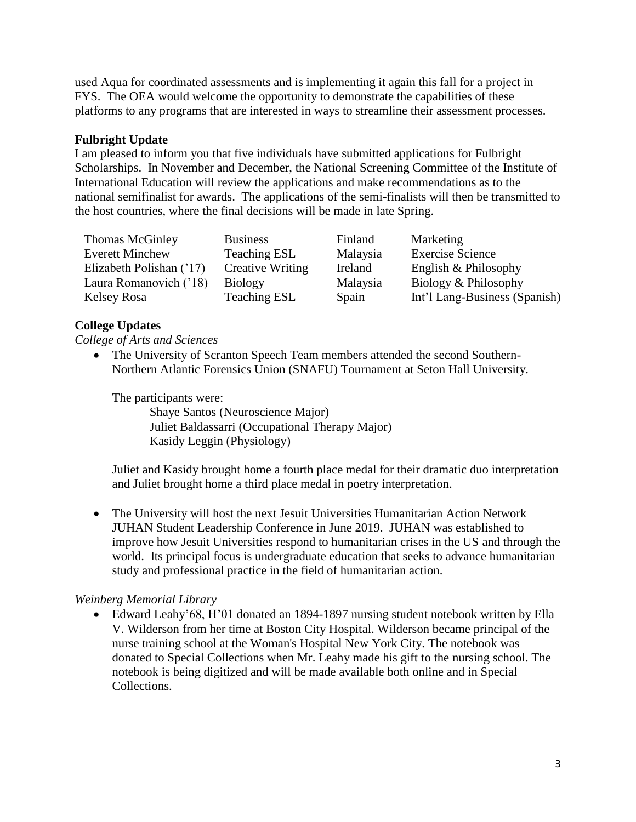used Aqua for coordinated assessments and is implementing it again this fall for a project in FYS. The OEA would welcome the opportunity to demonstrate the capabilities of these platforms to any programs that are interested in ways to streamline their assessment processes.

## **Fulbright Update**

I am pleased to inform you that five individuals have submitted applications for Fulbright Scholarships. In November and December, the National Screening Committee of the Institute of International Education will review the applications and make recommendations as to the national semifinalist for awards. The applications of the semi-finalists will then be transmitted to the host countries, where the final decisions will be made in late Spring.

| Thomas McGinley          | <b>Business</b>         | Finland  | Marketing                     |
|--------------------------|-------------------------|----------|-------------------------------|
| <b>Everett Minchew</b>   | <b>Teaching ESL</b>     | Malaysia | <b>Exercise Science</b>       |
| Elizabeth Polishan ('17) | <b>Creative Writing</b> | Ireland  | English & Philosophy          |
| Laura Romanovich ('18)   | <b>Biology</b>          | Malaysia | Biology & Philosophy          |
| Kelsey Rosa              | <b>Teaching ESL</b>     | Spain    | Int'l Lang-Business (Spanish) |

#### **College Updates**

*College of Arts and Sciences*

• The University of Scranton Speech Team members attended the second Southern-Northern Atlantic Forensics Union (SNAFU) Tournament at Seton Hall University.

The participants were:

 Shaye Santos (Neuroscience Major) Juliet Baldassarri (Occupational Therapy Major) Kasidy Leggin (Physiology)

Juliet and Kasidy brought home a fourth place medal for their dramatic duo interpretation and Juliet brought home a third place medal in poetry interpretation.

 The University will host the next Jesuit Universities Humanitarian Action Network JUHAN Student Leadership Conference in June 2019. JUHAN was established to improve how Jesuit Universities respond to humanitarian crises in the US and through the world. Its principal focus is undergraduate education that seeks to advance humanitarian study and professional practice in the field of humanitarian action.

#### *Weinberg Memorial Library*

 Edward Leahy'68, H'01 donated an 1894-1897 nursing student notebook written by Ella V. Wilderson from her time at Boston City Hospital. Wilderson became principal of the nurse training school at the Woman's Hospital New York City. The notebook was donated to Special Collections when Mr. Leahy made his gift to the nursing school. The notebook is being digitized and will be made available both online and in Special Collections.